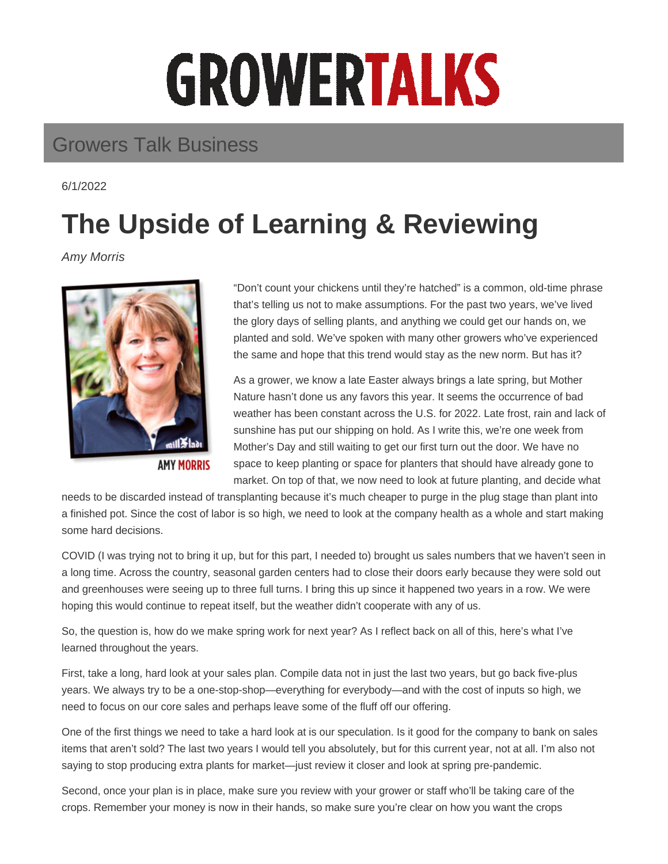## GROWERTALKS

## Growers Talk Business

6/1/2022

## **The Upside of Learning & Reviewing**

Amy Morris



**AMY MORRIS** 

"Don't count your chickens until they're hatched" is a common, old-time phrase that's telling us not to make assumptions. For the past two years, we've lived the glory days of selling plants, and anything we could get our hands on, we planted and sold. We've spoken with many other growers who've experienced the same and hope that this trend would stay as the new norm. But has it?

As a grower, we know a late Easter always brings a late spring, but Mother Nature hasn't done us any favors this year. It seems the occurrence of bad weather has been constant across the U.S. for 2022. Late frost, rain and lack of sunshine has put our shipping on hold. As I write this, we're one week from Mother's Day and still waiting to get our first turn out the door. We have no space to keep planting or space for planters that should have already gone to market. On top of that, we now need to look at future planting, and decide what

needs to be discarded instead of transplanting because it's much cheaper to purge in the plug stage than plant into a finished pot. Since the cost of labor is so high, we need to look at the company health as a whole and start making some hard decisions.

COVID (I was trying not to bring it up, but for this part, I needed to) brought us sales numbers that we haven't seen in a long time. Across the country, seasonal garden centers had to close their doors early because they were sold out and greenhouses were seeing up to three full turns. I bring this up since it happened two years in a row. We were hoping this would continue to repeat itself, but the weather didn't cooperate with any of us.

So, the question is, how do we make spring work for next year? As I reflect back on all of this, here's what I've learned throughout the years.

First, take a long, hard look at your sales plan. Compile data not in just the last two years, but go back five-plus years. We always try to be a one-stop-shop—everything for everybody—and with the cost of inputs so high, we need to focus on our core sales and perhaps leave some of the fluff off our offering.

One of the first things we need to take a hard look at is our speculation. Is it good for the company to bank on sales items that aren't sold? The last two years I would tell you absolutely, but for this current year, not at all. I'm also not saying to stop producing extra plants for market—just review it closer and look at spring pre-pandemic.

Second, once your plan is in place, make sure you review with your grower or staff who'll be taking care of the crops. Remember your money is now in their hands, so make sure you're clear on how you want the crops